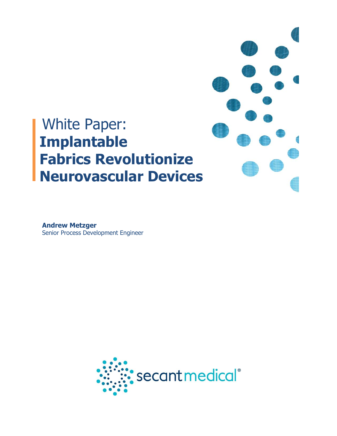# White Paper: **Implantable Fabrics Revolutionize Neurovascular Devices**

**Andrew Metzger** Senior Process Development Engineer

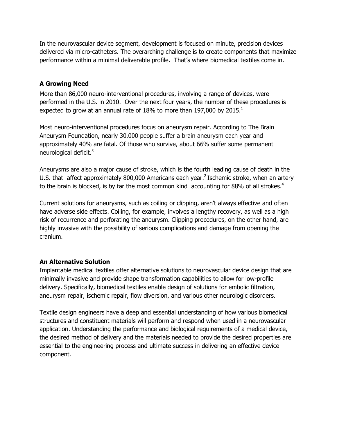In the neurovascular device segment, development is focused on minute, precision devices delivered via micro-catheters. The overarching challenge is to create components that maximize performance within a minimal deliverable profile. That's where biomedical textiles come in.

# **A Growing Need**

More than 86,000 neuro-interventional procedures, involving a range of devices, were performed in the U.S. in 2010. Over the next four years, the number of these procedures is expected to grow at an annual rate of 18% to more than 197,000 by 2015. $^1$ 

Most neuro-interventional procedures focus on aneurysm repair. According to The Brain Aneurysm Foundation, nearly 30,000 people suffer a brain aneurysm each year and approximately 40% are fatal. Of those who survive, about 66% suffer some permanent neurological deficit.<sup>3</sup>

Aneurysms are also a major cause of stroke, which is the fourth leading cause of death in the U.S. that affect approximately 800,000 Americans each year.<sup>2</sup> Ischemic stroke, when an artery to the brain is blocked, is by far the most common kind accounting for 88% of all strokes.<sup>4</sup>

Current solutions for aneurysms, such as coiling or clipping, aren't always effective and often have adverse side effects. Coiling, for example, involves a lengthy recovery, as well as a high risk of recurrence and perforating the aneurysm. Clipping procedures, on the other hand, are highly invasive with the possibility of serious complications and damage from opening the cranium.

### **An Alternative Solution**

Implantable medical textiles offer alternative solutions to neurovascular device design that are minimally invasive and provide shape transformation capabilities to allow for low-profile delivery. Specifically, biomedical textiles enable design of solutions for embolic filtration, aneurysm repair, ischemic repair, flow diversion, and various other neurologic disorders.

Textile design engineers have a deep and essential understanding of how various biomedical structures and constituent materials will perform and respond when used in a neurovascular application. Understanding the performance and biological requirements of a medical device, the desired method of delivery and the materials needed to provide the desired properties are essential to the engineering process and ultimate success in delivering an effective device component.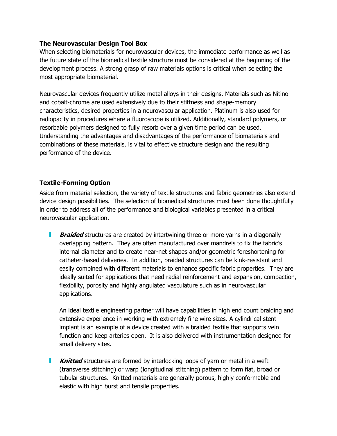#### **The Neurovascular Design Tool Box**

When selecting biomaterials for neurovascular devices, the immediate performance as well as the future state of the biomedical textile structure must be considered at the beginning of the development process. A strong grasp of raw materials options is critical when selecting the most appropriate biomaterial.

Neurovascular devices frequently utilize metal alloys in their designs. Materials such as Nitinol and cobalt-chrome are used extensively due to their stiffness and shape-memory characteristics, desired properties in a neurovascular application. Platinum is also used for radiopacity in procedures where a fluoroscope is utilized. Additionally, standard polymers, or resorbable polymers designed to fully resorb over a given time period can be used. Understanding the advantages and disadvantages of the performance of biomaterials and combinations of these materials, is vital to effective structure design and the resulting performance of the device.

## **Textile-Forming Option**

Aside from material selection, the variety of textile structures and fabric geometries also extend device design possibilities. The selection of biomedical structures must been done thoughtfully in order to address all of the performance and biological variables presented in a critical neurovascular application.

L **Braided** structures are created by intertwining three or more yarns in a diagonally overlapping pattern. They are often manufactured over mandrels to fix the fabric's internal diameter and to create near-net shapes and/or geometric foreshortening for catheter-based deliveries. In addition, braided structures can be kink-resistant and easily combined with different materials to enhance specific fabric properties. They are ideally suited for applications that need radial reinforcement and expansion, compaction, flexibility, porosity and highly angulated vasculature such as in neurovascular applications.

An ideal textile engineering partner will have capabilities in high end count braiding and extensive experience in working with extremely fine wire sizes. A cylindrical stent implant is an example of a device created with a braided textile that supports vein function and keep arteries open. It is also delivered with instrumentation designed for small delivery sites.

**Knitted** structures are formed by interlocking loops of yarn or metal in a weft н (transverse stitching) or warp (longitudinal stitching) pattern to form flat, broad or tubular structures. Knitted materials are generally porous, highly conformable and elastic with high burst and tensile properties.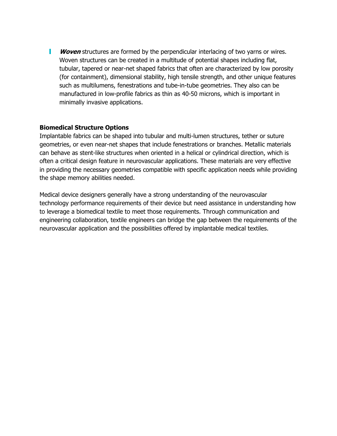**Woven** structures are formed by the perpendicular interlacing of two yarns or wires. Woven structures can be created in a multitude of potential shapes including flat, tubular, tapered or near-net shaped fabrics that often are characterized by low porosity (for containment), dimensional stability, high tensile strength, and other unique features such as multilumens, fenestrations and tube-in-tube geometries. They also can be manufactured in low-profile fabrics as thin as 40-50 microns, which is important in minimally invasive applications.

#### **Biomedical Structure Options**

Implantable fabrics can be shaped into tubular and multi-lumen structures, tether or suture geometries, or even near-net shapes that include fenestrations or branches. Metallic materials can behave as stent-like structures when oriented in a helical or cylindrical direction, which is often a critical design feature in neurovascular applications. These materials are very effective in providing the necessary geometries compatible with specific application needs while providing the shape memory abilities needed.

Medical device designers generally have a strong understanding of the neurovascular technology performance requirements of their device but need assistance in understanding how to leverage a biomedical textile to meet those requirements. Through communication and engineering collaboration, textile engineers can bridge the gap between the requirements of the neurovascular application and the possibilities offered by implantable medical textiles.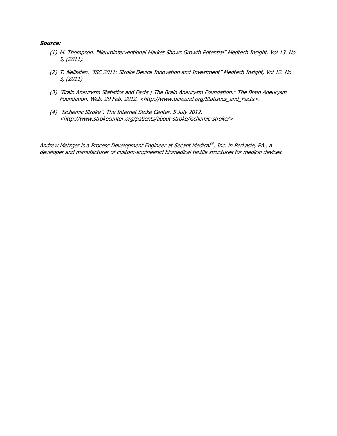#### **Source:**

- (1) M. Thompson. "Neurointerventional Market Shows Growth Potential" Medtech Insight, Vol 13. No. 5, (2011).
- (2) T. Neilssien. "ISC 2011: Stroke Device Innovation and Investment" Medtech Insight, Vol 12. No. 3, (2011)
- (3) "Brain Aneurysm Statistics and Facts | The Brain Aneurysm Foundation." The Brain Aneurysm Foundation. Web. 29 Feb. 2012. <http://www.bafound.org/Statistics\_and\_Facts>.
- (4) "Ischemic Stroke". The Internet Stoke Center. 5 July 2012. <http://www.strokecenter.org/patients/about-stroke/ischemic-stroke/>

Andrew Metzger is a Process Development Engineer at Secant Medical ® , Inc. in Perkasie, PA., a developer and manufacturer of custom-engineered biomedical textile structures for medical devices.